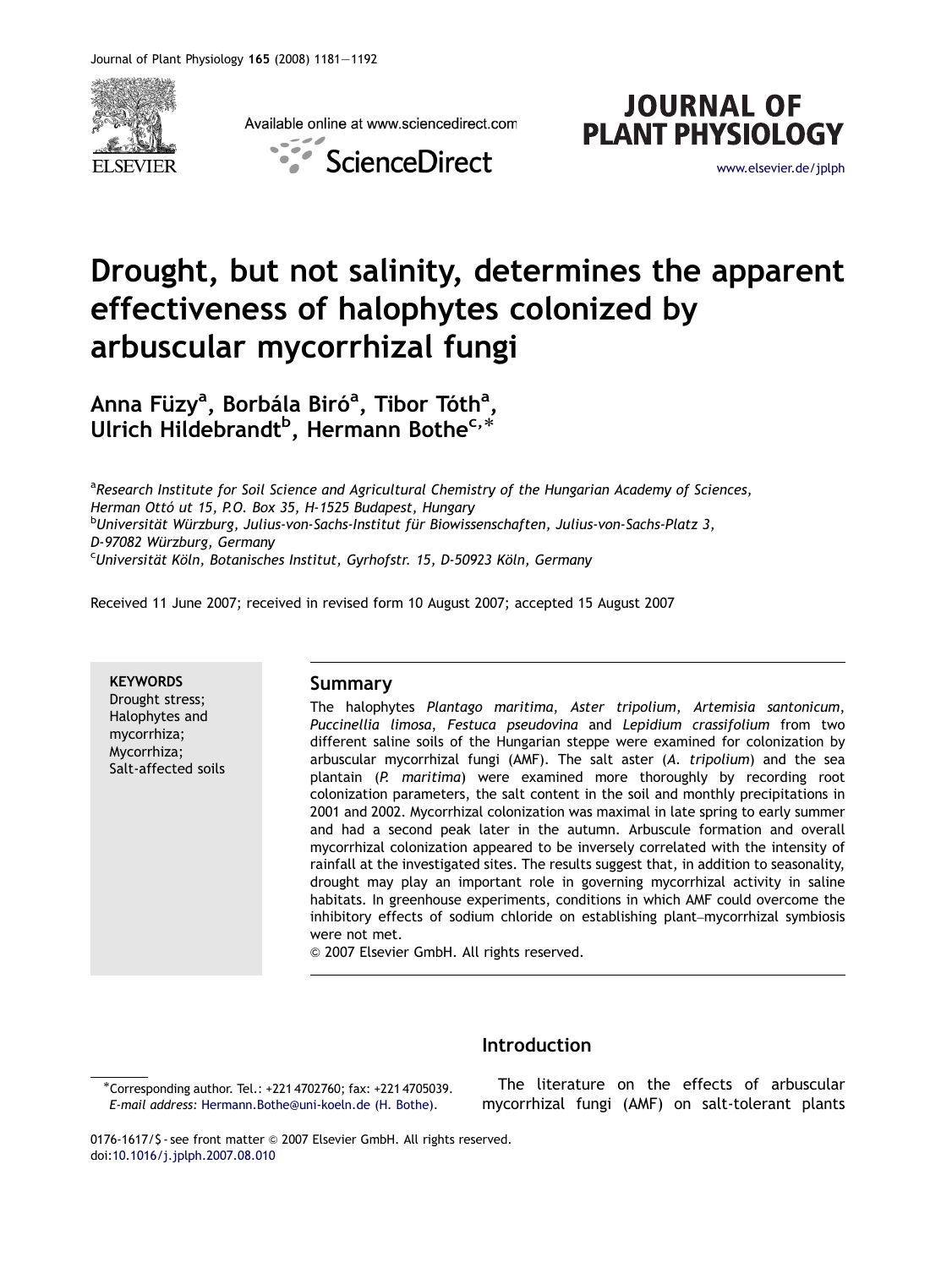

Available online at www.sciencedirect.com





# Drought, but not salinity, determines the apparent effectiveness of halophytes colonized by arbuscular mycorrhizal fungi

Anna Füzy<sup>a</sup>, Borbála Biró<sup>a</sup>, Tibor Tóth<sup>a</sup>, ullrich Hildebrandt<sup>b</sup>, Hermann Bothe<sup>c,\*</sup><br>Ulrich Hildebrandt<sup>b</sup>, Hermann Bothe<sup>c,\*</sup>

<sup>a</sup>Research Institute for Soil Science and Agricultural Chemistry of the Hungarian Academy of Sciences, Herman Ottó ut 15, P.O. Box 35, H-1525 Budapest, Hungary <sup>b</sup>Universität Würzburg, Julius-von-Sachs-Institut für Biowissenschaften, Julius-von-Sachs-Platz 3, D-97082 Würzburg, Germany  $c$ Universität Köln, Botanisches Institut, Gyrhofstr. 15, D-50923 Köln, Germany

Received 11 June 2007; received in revised form 10 August 2007; accepted 15 August 2007

**KEYWORDS** Drought stress; Halophytes and mycorrhiza; Mycorrhiza; Salt-affected soils

## Summary

The halophytes Plantago maritima, Aster tripolium, Artemisia santonicum, Puccinellia limosa, Festuca pseudovina and Lepidium crassifolium from two different saline soils of the Hungarian steppe were examined for colonization by arbuscular mycorrhizal fungi (AMF). The salt aster (A. tripolium) and the sea plantain (P. maritima) were examined more thoroughly by recording root colonization parameters, the salt content in the soil and monthly precipitations in 2001 and 2002. Mycorrhizal colonization was maximal in late spring to early summer and had a second peak later in the autumn. Arbuscule formation and overall mycorrhizal colonization appeared to be inversely correlated with the intensity of rainfall at the investigated sites. The results suggest that, in addition to seasonality, drought may play an important role in governing mycorrhizal activity in saline habitats. In greenhouse experiments, conditions in which AMF could overcome the inhibitory effects of sodium chloride on establishing plant–mycorrhizal symbiosis were not met.

 $©$  2007 Elsevier GmbH. All rights reserved.

# Introduction

The literature on the effects of arbuscular mycorrhizal fungi (AMF) on salt-tolerant plants

<sup>-</sup>Corresponding author. Tel.: +221 4702760; fax: +221 4705039. E-mail address: [Hermann.Bothe@uni-koeln.de \(H. Bothe\).](mailto:Hermann.Bothe@uni-koeln.de)

<sup>0176-1617/\$ -</sup> see front matter © 2007 Elsevier GmbH. All rights reserved. doi[:10.1016/j.jplph.2007.08.010](dx.doi.org/10.1016/j.jplph.2007.08.010)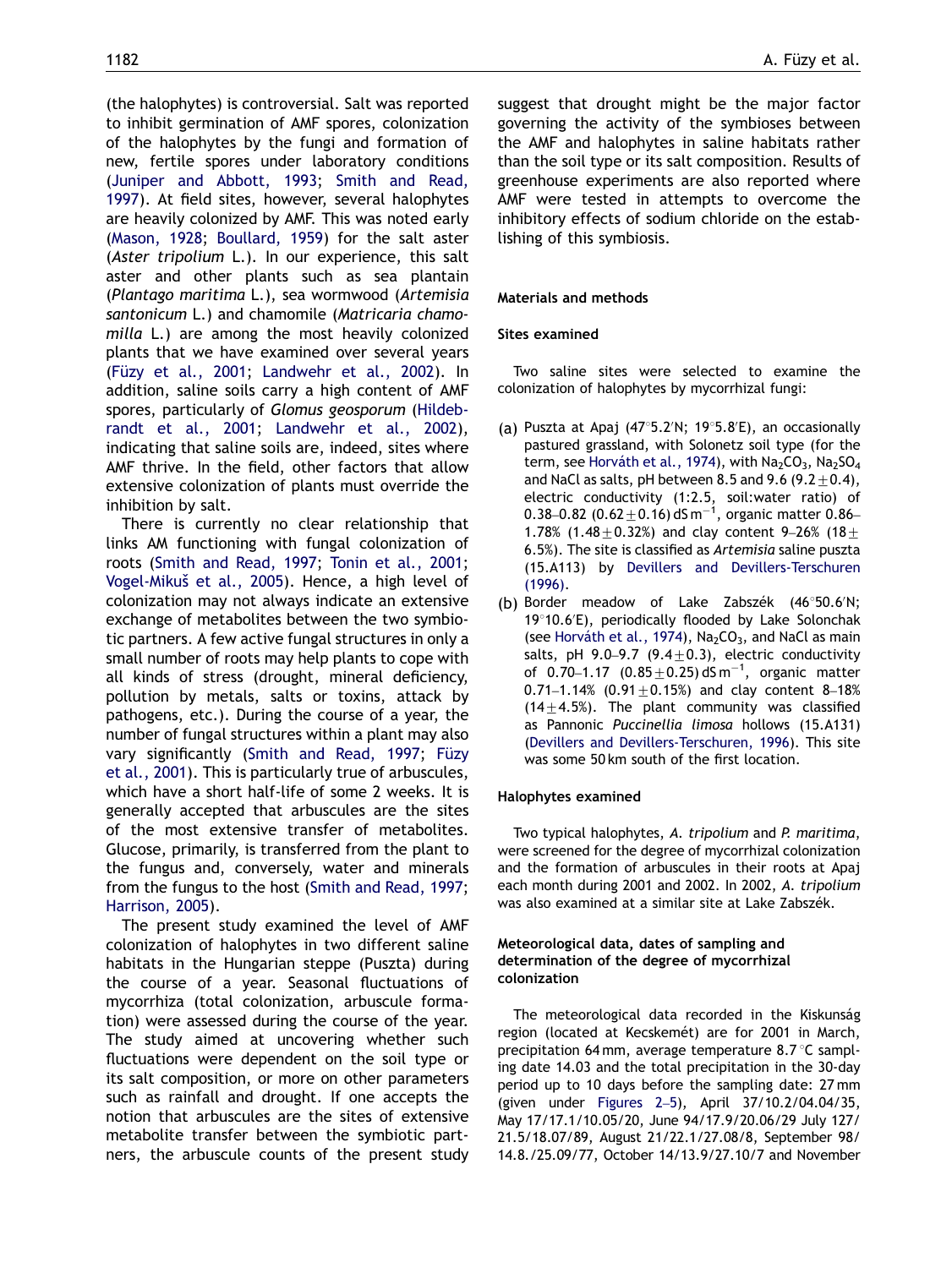(the halophytes) is controversial. Salt was reported to inhibit germination of AMF spores, colonization of the halophytes by the fungi and formation of new, fertile spores under laboratory conditions ([Juniper and Abbott, 1993;](#page-10-0) [Smith and Read,](#page-11-0) [1997](#page-11-0)). At field sites, however, several halophytes are heavily colonized by AMF. This was noted early ([Mason, 1928;](#page-10-0) [Boullard, 1959](#page-10-0)) for the salt aster (Aster tripolium L.). In our experience, this salt aster and other plants such as sea plantain (Plantago maritima L.), sea wormwood (Artemisia santonicum L.) and chamomile (Matricaria chamomilla L.) are among the most heavily colonized plants that we have examined over several years (Füzy et al., 2001; [Landwehr et al., 2002\)](#page-10-0). In addition, saline soils carry a high content of AMF spores, particularly of Glomus geosporum [\(Hildeb](#page-10-0)[randt et al., 2001;](#page-10-0) [Landwehr et al., 2002](#page-10-0)), indicating that saline soils are, indeed, sites where AMF thrive. In the field, other factors that allow extensive colonization of plants must override the inhibition by salt.

There is currently no clear relationship that links AM functioning with fungal colonization of roots [\(Smith and Read, 1997](#page-11-0); [Tonin et al., 2001;](#page-11-0) Vogel-Mikuš et al., 2005). Hence, a high level of colonization may not always indicate an extensive exchange of metabolites between the two symbiotic partners. A few active fungal structures in only a small number of roots may help plants to cope with all kinds of stress (drought, mineral deficiency, pollution by metals, salts or toxins, attack by pathogens, etc.). During the course of a year, the number of fungal structures within a plant may also vary significantly [\(Smith and Read, 1997;](#page-11-0) Füzy [et al., 2001](#page-10-0)). This is particularly true of arbuscules, which have a short half-life of some 2 weeks. It is generally accepted that arbuscules are the sites of the most extensive transfer of metabolites. Glucose, primarily, is transferred from the plant to the fungus and, conversely, water and minerals from the fungus to the host [\(Smith and Read, 1997;](#page-11-0) [Harrison, 2005\)](#page-10-0).

The present study examined the level of AMF colonization of halophytes in two different saline habitats in the Hungarian steppe (Puszta) during the course of a year. Seasonal fluctuations of mycorrhiza (total colonization, arbuscule formation) were assessed during the course of the year. The study aimed at uncovering whether such fluctuations were dependent on the soil type or its salt composition, or more on other parameters such as rainfall and drought. If one accepts the notion that arbuscules are the sites of extensive metabolite transfer between the symbiotic partners, the arbuscule counts of the present study suggest that drought might be the major factor governing the activity of the symbioses between the AMF and halophytes in saline habitats rather than the soil type or its salt composition. Results of greenhouse experiments are also reported where AMF were tested in attempts to overcome the inhibitory effects of sodium chloride on the establishing of this symbiosis.

## Materials and methods

## Sites examined

Two saline sites were selected to examine the colonization of halophytes by mycorrhizal fungi:

- (a) Puszta at Apaj (47°5.2'N; 19°5.8'E), an occasionally pastured grassland, with Solonetz soil type (for the term, see Horváth et al., 1974), with  $Na<sub>2</sub>CO<sub>3</sub>$ , Na<sub>2</sub>SO<sub>4</sub> and NaCl as salts, pH between 8.5 and 9.6 (9.2 $\pm$ 0.4), electric conductivity (1:2.5, soil:water ratio) of 0.38–0.82 (0.62 $\pm$ 0.16) dS m $^{-1}$ , organic matter 0.86– 1.78% (1.48  $\pm$  0.32%) and clay content 9–26% (18 $\pm$ 6.5%). The site is classified as Artemisia saline puszta (15.A113) by [Devillers and Devillers-Terschuren](#page-10-0) [\(1996\)](#page-10-0).
- (b) Border meadow of Lake Zabszék (46°50.6'N; 19°10.6'E), periodically flooded by Lake Solonchak (see Horváth et al., 1974),  $Na<sub>2</sub>CO<sub>3</sub>$ , and NaCl as main salts, pH 9.0-9.7 (9.4 $\pm$ 0.3), electric conductivity of  $0.70 - 1.17$   $(0.85 \pm 0.25)$  dS m<sup>-1</sup>, organic matter 0.71-1.14% (0.91 $\pm$ 0.15%) and clay content 8-18%  $(14\pm4.5%)$ . The plant community was classified as Pannonic Puccinellia limosa hollows (15.A131) [\(Devillers and Devillers-Terschuren, 1996](#page-10-0)). This site was some 50 km south of the first location.

## Halophytes examined

Two typical halophytes, A. tripolium and P. maritima, were screened for the degree of mycorrhizal colonization and the formation of arbuscules in their roots at Apaj each month during 2001 and 2002. In 2002, A. tripolium was also examined at a similar site at Lake Zabszék.

## Meteorological data, dates of sampling and determination of the degree of mycorrhizal colonization

The meteorological data recorded in the Kiskunság region (located at Kecskemét) are for 2001 in March, precipitation 64 mm, average temperature 8.7  $\degree$ C sampling date 14.03 and the total precipitation in the 30-day period up to 10 days before the sampling date: 27 mm (given under [Figures 2](#page-3-0)–5), April 37/10.2/04.04/35, May 17/17.1/10.05/20, June 94/17.9/20.06/29 July 127/ 21.5/18.07/89, August 21/22.1/27.08/8, September 98/ 14.8./25.09/77, October 14/13.9/27.10/7 and November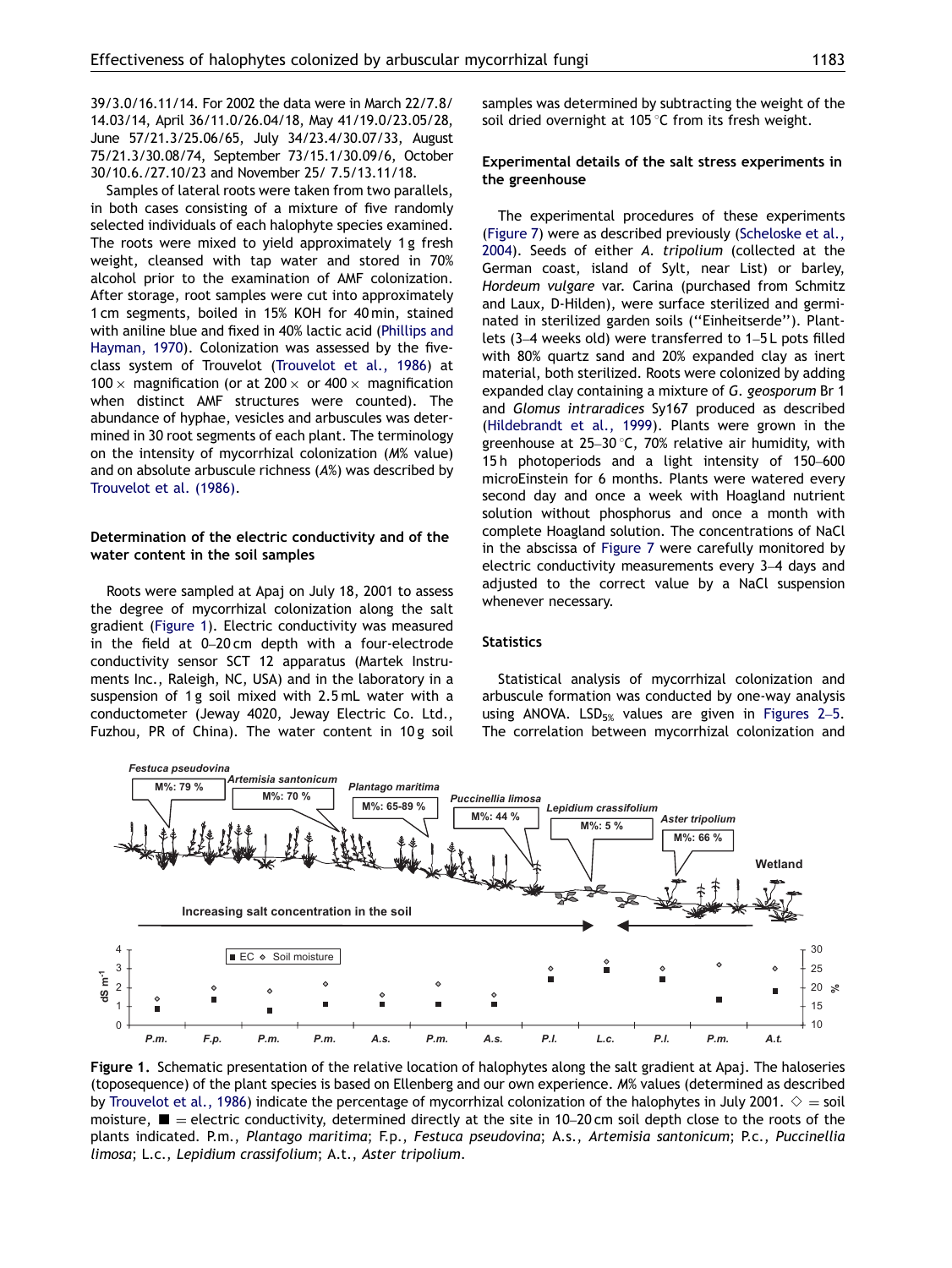<span id="page-2-0"></span>39/3.0/16.11/14. For 2002 the data were in March 22/7.8/ 14.03/14, April 36/11.0/26.04/18, May 41/19.0/23.05/28, June 57/21.3/25.06/65, July 34/23.4/30.07/33, August 75/21.3/30.08/74, September 73/15.1/30.09/6, October 30/10.6./27.10/23 and November 25/ 7.5/13.11/18.

Samples of lateral roots were taken from two parallels, in both cases consisting of a mixture of five randomly selected individuals of each halophyte species examined. The roots were mixed to yield approximately 1 g fresh weight, cleansed with tap water and stored in 70% alcohol prior to the examination of AMF colonization. After storage, root samples were cut into approximately 1 cm segments, boiled in 15% KOH for 40 min, stained with aniline blue and fixed in 40% lactic acid ([Phillips and](#page-11-0) [Hayman, 1970\)](#page-11-0). Colonization was assessed by the fiveclass system of Trouvelot ([Trouvelot et al., 1986](#page-11-0)) at 100  $\times$  magnification (or at 200  $\times$  or 400  $\times$  magnification when distinct AMF structures were counted). The abundance of hyphae, vesicles and arbuscules was determined in 30 root segments of each plant. The terminology on the intensity of mycorrhizal colonization (M% value) and on absolute arbuscule richness (A%) was described by [Trouvelot et al. \(1986\)](#page-11-0).

## Determination of the electric conductivity and of the water content in the soil samples

Roots were sampled at Apaj on July 18, 2001 to assess the degree of mycorrhizal colonization along the salt gradient (Figure 1). Electric conductivity was measured in the field at 0–20 cm depth with a four-electrode conductivity sensor SCT 12 apparatus (Martek Instruments Inc., Raleigh, NC, USA) and in the laboratory in a suspension of 1 g soil mixed with 2.5 mL water with a conductometer (Jeway 4020, Jeway Electric Co. Ltd., Fuzhou, PR of China). The water content in 10 g soil samples was determined by subtracting the weight of the soil dried overnight at 105 $\degree$ C from its fresh weight.

## Experimental details of the salt stress experiments in the greenhouse

The experimental procedures of these experiments [\(Figure 7](#page-8-0)) were as described previously ([Scheloske et al.,](#page-11-0) [2004](#page-11-0)). Seeds of either A. tripolium (collected at the German coast, island of Sylt, near List) or barley, Hordeum vulgare var. Carina (purchased from Schmitz and Laux, D-Hilden), were surface sterilized and germinated in sterilized garden soils (''Einheitserde''). Plantlets (3–4 weeks old) were transferred to 1–5 L pots filled with 80% quartz sand and 20% expanded clay as inert material, both sterilized. Roots were colonized by adding expanded clay containing a mixture of G. geosporum Br 1 and Glomus intraradices Sy167 produced as described [\(Hildebrandt et al., 1999](#page-10-0)). Plants were grown in the greenhouse at  $25-30$  °C, 70% relative air humidity, with 15 h photoperiods and a light intensity of 150–600 microEinstein for 6 months. Plants were watered every second day and once a week with Hoagland nutrient solution without phosphorus and once a month with complete Hoagland solution. The concentrations of NaCl in the abscissa of [Figure 7](#page-8-0) were carefully monitored by electric conductivity measurements every 3–4 days and adjusted to the correct value by a NaCl suspension whenever necessary.

#### **Statistics**

Statistical analysis of mycorrhizal colonization and arbuscule formation was conducted by one-way analysis using ANOVA. LSD<sub>5%</sub> values are given in [Figures 2](#page-3-0)–5. The correlation between mycorrhizal colonization and



Figure 1. Schematic presentation of the relative location of halophytes along the salt gradient at Apaj. The haloseries (toposequence) of the plant species is based on Ellenberg and our own experience. M% values (determined as described by [Trouvelot et al., 1986](#page-11-0)) indicate the percentage of mycorrhizal colonization of the halophytes in July 2001.  $\diamond$  = soil moisture,  $\blacksquare$  = electric conductivity, determined directly at the site in 10–20 cm soil depth close to the roots of the plants indicated. P.m., Plantago maritima; F.p., Festuca pseudovina; A.s., Artemisia santonicum; P.c., Puccinellia limosa; L.c., Lepidium crassifolium; A.t., Aster tripolium.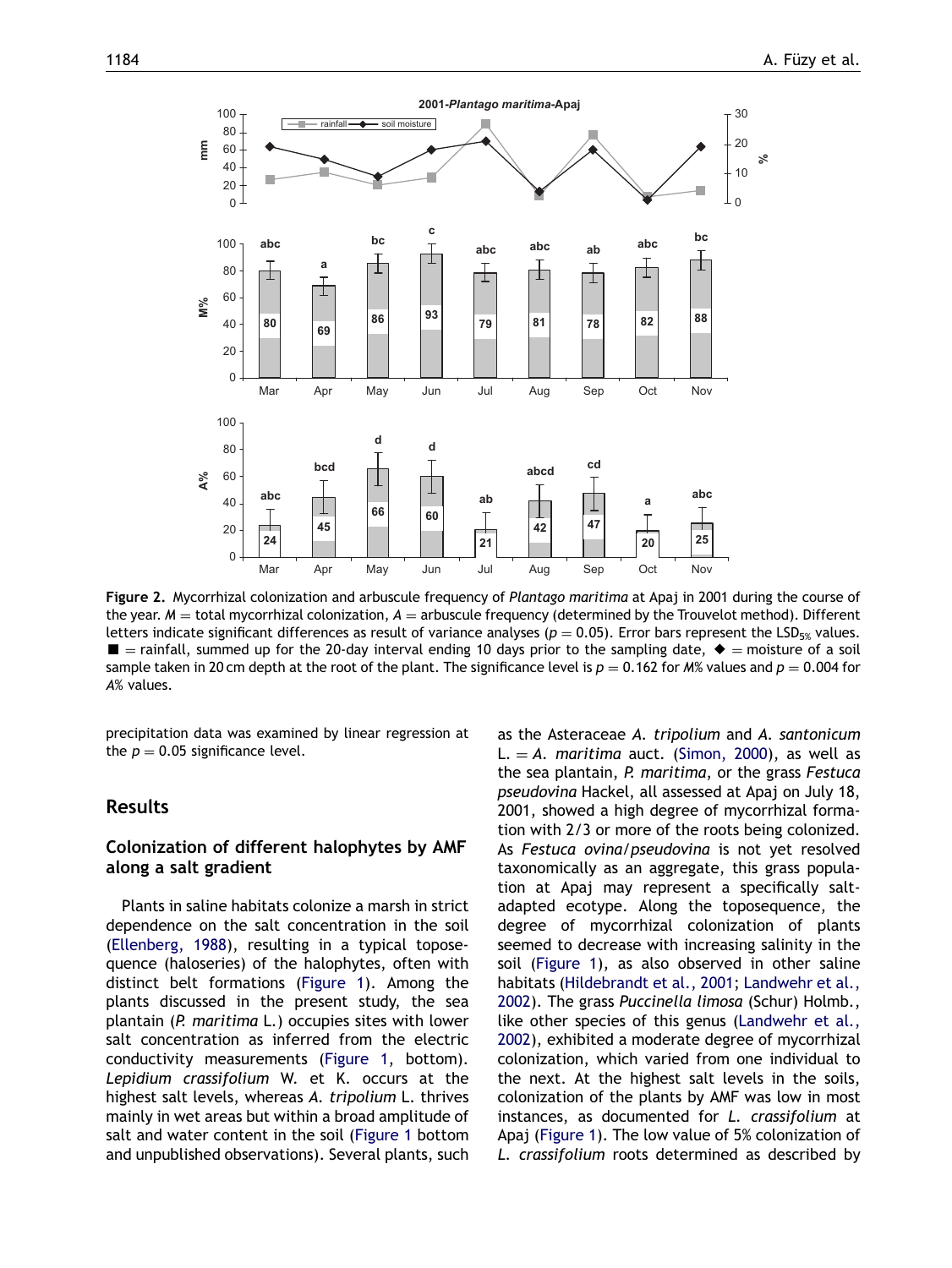<span id="page-3-0"></span>

Figure 2. Mycorrhizal colonization and arbuscule frequency of Plantago maritima at Apaj in 2001 during the course of the year.  $M =$  total mycorrhizal colonization,  $A =$  arbuscule frequency (determined by the Trouvelot method). Different letters indicate significant differences as result of variance analyses ( $p = 0.05$ ). Error bars represent the LSD<sub>5%</sub> values.  $\blacksquare$  = rainfall, summed up for the 20-day interval ending 10 days prior to the sampling date,  $\blacklozenge$  = moisture of a soil sample taken in 20 cm depth at the root of the plant. The significance level is  $p = 0.162$  for M% values and  $p = 0.004$  for A% values.

precipitation data was examined by linear regression at the  $p = 0.05$  significance level.

# Results

# Colonization of different halophytes by AMF along a salt gradient

Plants in saline habitats colonize a marsh in strict dependence on the salt concentration in the soil ([Ellenberg, 1988\)](#page-10-0), resulting in a typical toposequence (haloseries) of the halophytes, often with distinct belt formations ([Figure 1](#page-2-0)). Among the plants discussed in the present study, the sea plantain (P. maritima L.) occupies sites with lower salt concentration as inferred from the electric conductivity measurements [\(Figure 1](#page-2-0), bottom). Lepidium crassifolium W. et K. occurs at the highest salt levels, whereas A. tripolium L. thrives mainly in wet areas but within a broad amplitude of salt and water content in the soil [\(Figure 1](#page-2-0) bottom and unpublished observations). Several plants, such

as the Asteraceae A. tripolium and A. santonicum L.  $=$  A. maritima auct. ([Simon, 2000](#page-11-0)), as well as the sea plantain, P. maritima, or the grass Festuca pseudovina Hackel, all assessed at Apaj on July 18, 2001, showed a high degree of mycorrhizal formation with 2/3 or more of the roots being colonized. As Festuca ovina/pseudovina is not yet resolved taxonomically as an aggregate, this grass population at Apaj may represent a specifically saltadapted ecotype. Along the toposequence, the degree of mycorrhizal colonization of plants seemed to decrease with increasing salinity in the soil ([Figure 1\)](#page-2-0), as also observed in other saline habitats ([Hildebrandt et al., 2001](#page-10-0); [Landwehr et al.,](#page-10-0) [2002](#page-10-0)). The grass Puccinella limosa (Schur) Holmb., like other species of this genus [\(Landwehr et al.,](#page-10-0) [2002](#page-10-0)), exhibited a moderate degree of mycorrhizal colonization, which varied from one individual to the next. At the highest salt levels in the soils, colonization of the plants by AMF was low in most instances, as documented for L. crassifolium at Apaj ([Figure 1](#page-2-0)). The low value of 5% colonization of L. crassifolium roots determined as described by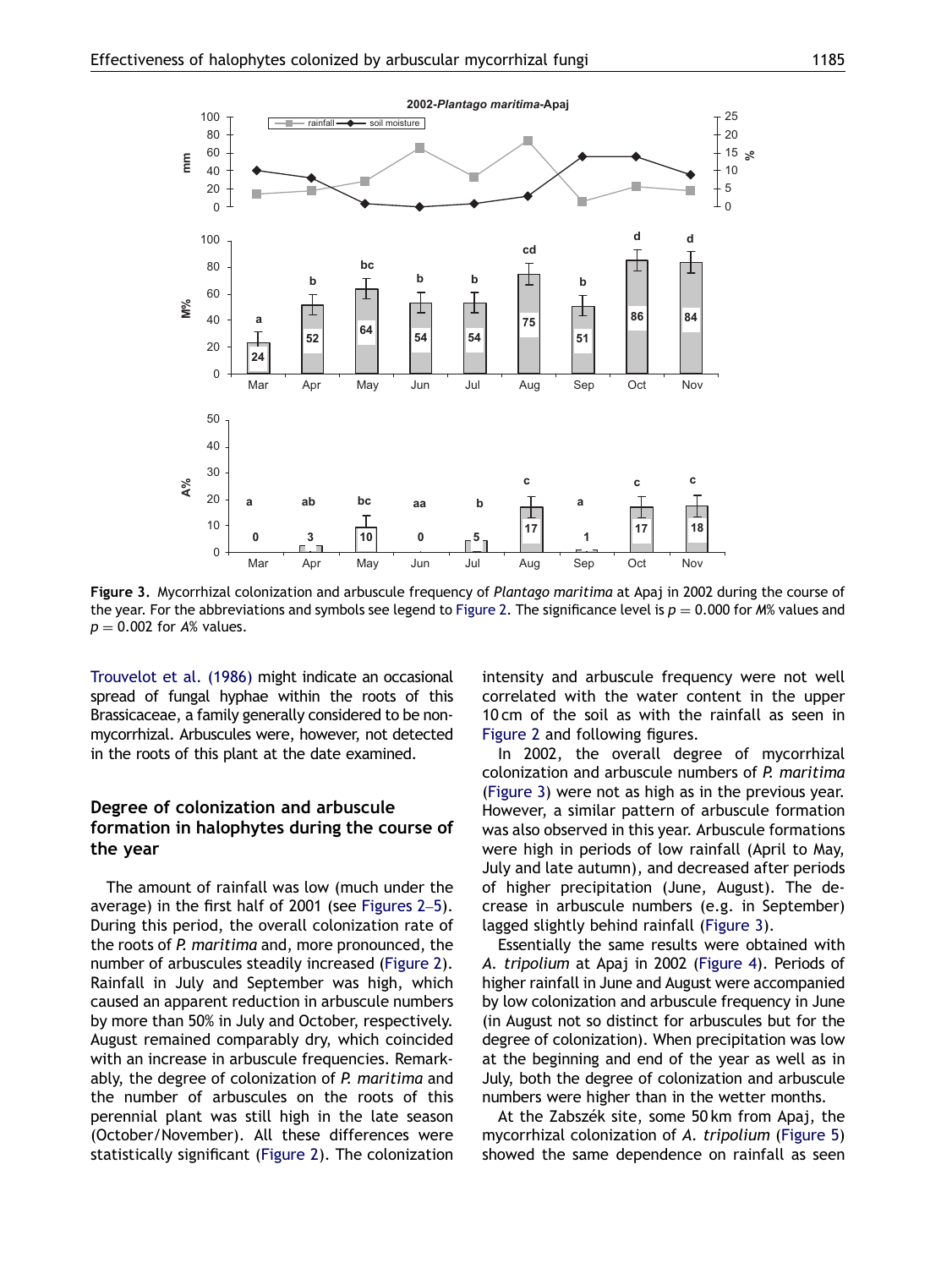

Figure 3. Mycorrhizal colonization and arbuscule frequency of Plantago maritima at Apaj in 2002 during the course of the year. For the abbreviations and symbols see legend to [Figure 2](#page-3-0). The significance level is  $p = 0.000$  for M% values and  $p = 0.002$  for A% values.

[Trouvelot et al. \(1986\)](#page-11-0) might indicate an occasional spread of fungal hyphae within the roots of this Brassicaceae, a family generally considered to be nonmycorrhizal. Arbuscules were, however, not detected in the roots of this plant at the date examined.

# Degree of colonization and arbuscule formation in halophytes during the course of the year

The amount of rainfall was low (much under the average) in the first half of 2001 (see [Figures 2](#page-3-0)–5). During this period, the overall colonization rate of the roots of P. maritima and, more pronounced, the number of arbuscules steadily increased ([Figure 2\)](#page-3-0). Rainfall in July and September was high, which caused an apparent reduction in arbuscule numbers by more than 50% in July and October, respectively. August remained comparably dry, which coincided with an increase in arbuscule frequencies. Remarkably, the degree of colonization of P. maritima and the number of arbuscules on the roots of this perennial plant was still high in the late season (October/November). All these differences were statistically significant [\(Figure 2\)](#page-3-0). The colonization intensity and arbuscule frequency were not well correlated with the water content in the upper 10 cm of the soil as with the rainfall as seen in [Figure 2](#page-3-0) and following figures.

In 2002, the overall degree of mycorrhizal colonization and arbuscule numbers of P. maritima (Figure 3) were not as high as in the previous year. However, a similar pattern of arbuscule formation was also observed in this year. Arbuscule formations were high in periods of low rainfall (April to May, July and late autumn), and decreased after periods of higher precipitation (June, August). The decrease in arbuscule numbers (e.g. in September) lagged slightly behind rainfall (Figure 3).

Essentially the same results were obtained with A. tripolium at Apaj in 2002 [\(Figure 4\)](#page-5-0). Periods of higher rainfall in June and August were accompanied by low colonization and arbuscule frequency in June (in August not so distinct for arbuscules but for the degree of colonization). When precipitation was low at the beginning and end of the year as well as in July, both the degree of colonization and arbuscule numbers were higher than in the wetter months.

At the Zabszék site, some 50 km from Apaj, the mycorrhizal colonization of A. tripolium ([Figure 5](#page-6-0)) showed the same dependence on rainfall as seen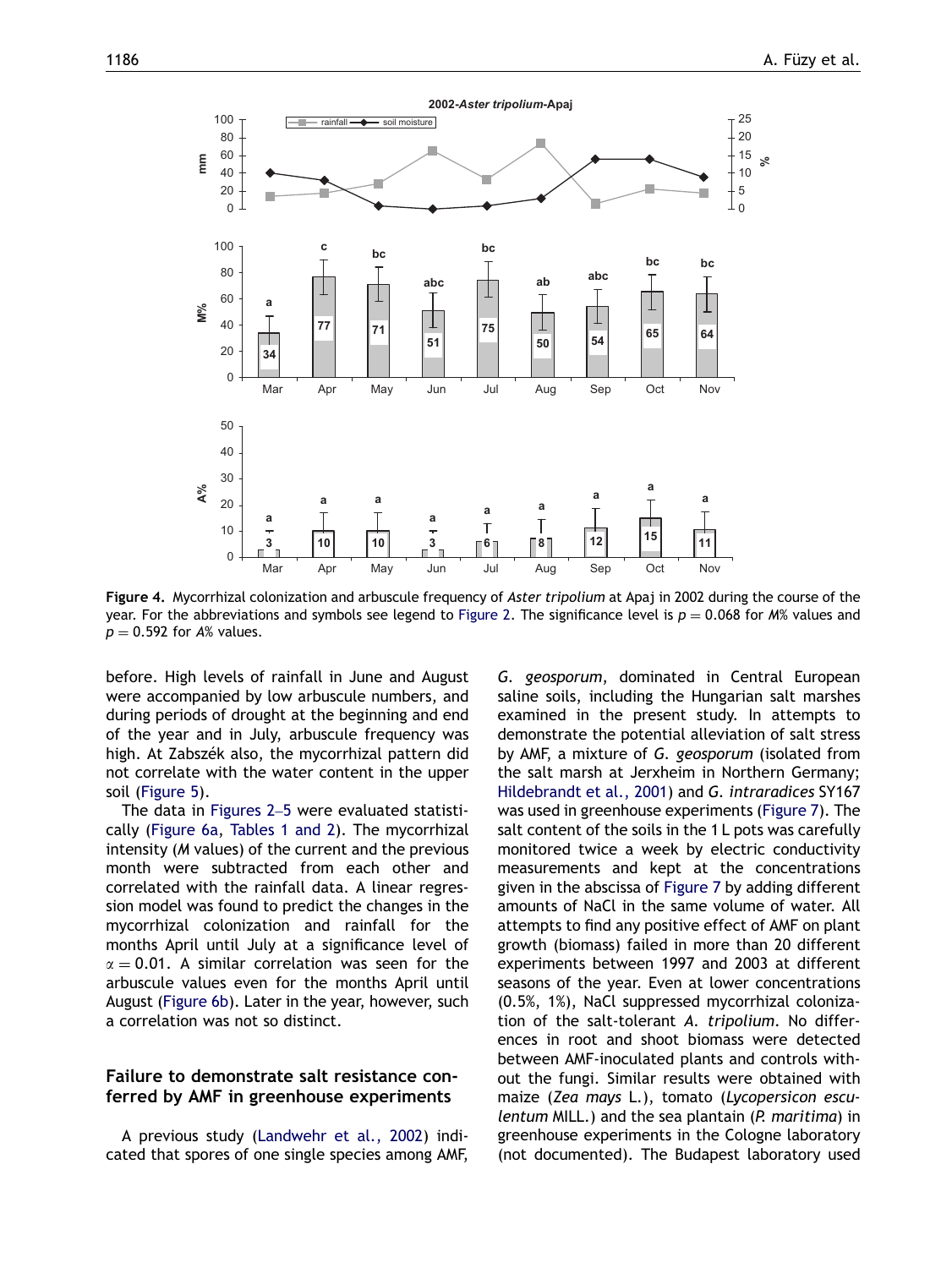<span id="page-5-0"></span>

Figure 4. Mycorrhizal colonization and arbuscule frequency of Aster tripolium at Apaj in 2002 during the course of the year. For the abbreviations and symbols see legend to [Figure 2.](#page-3-0) The significance level is  $p = 0.068$  for M% values and  $p = 0.592$  for A% values.

before. High levels of rainfall in June and August were accompanied by low arbuscule numbers, and during periods of drought at the beginning and end of the year and in July, arbuscule frequency was high. At Zabszék also, the mycorrhizal pattern did not correlate with the water content in the upper soil [\(Figure 5](#page-6-0)).

The data in [Figures 2](#page-3-0)–5 were evaluated statistically ([Figure 6a,](#page-7-0) [Tables 1 and 2\)](#page-7-0). The mycorrhizal intensity (M values) of the current and the previous month were subtracted from each other and correlated with the rainfall data. A linear regression model was found to predict the changes in the mycorrhizal colonization and rainfall for the months April until July at a significance level of  $\alpha = 0.01$ . A similar correlation was seen for the arbuscule values even for the months April until August [\(Figure 6b](#page-7-0)). Later in the year, however, such a correlation was not so distinct.

## Failure to demonstrate salt resistance conferred by AMF in greenhouse experiments

A previous study [\(Landwehr et al., 2002\)](#page-10-0) indicated that spores of one single species among AMF, G. geosporum, dominated in Central European saline soils, including the Hungarian salt marshes examined in the present study. In attempts to demonstrate the potential alleviation of salt stress by AMF, a mixture of G. geosporum (isolated from the salt marsh at Jerxheim in Northern Germany; [Hildebrandt et al., 2001\)](#page-10-0) and G. intraradices SY167 was used in greenhouse experiments [\(Figure 7](#page-8-0)). The salt content of the soils in the 1 L pots was carefully monitored twice a week by electric conductivity measurements and kept at the concentrations given in the abscissa of [Figure 7](#page-8-0) by adding different amounts of NaCl in the same volume of water. All attempts to find any positive effect of AMF on plant growth (biomass) failed in more than 20 different experiments between 1997 and 2003 at different seasons of the year. Even at lower concentrations (0.5%, 1%), NaCl suppressed mycorrhizal colonization of the salt-tolerant A. tripolium. No differences in root and shoot biomass were detected between AMF-inoculated plants and controls without the fungi. Similar results were obtained with maize (Zea mays L.), tomato (Lycopersicon esculentum MILL.) and the sea plantain (P. maritima) in greenhouse experiments in the Cologne laboratory (not documented). The Budapest laboratory used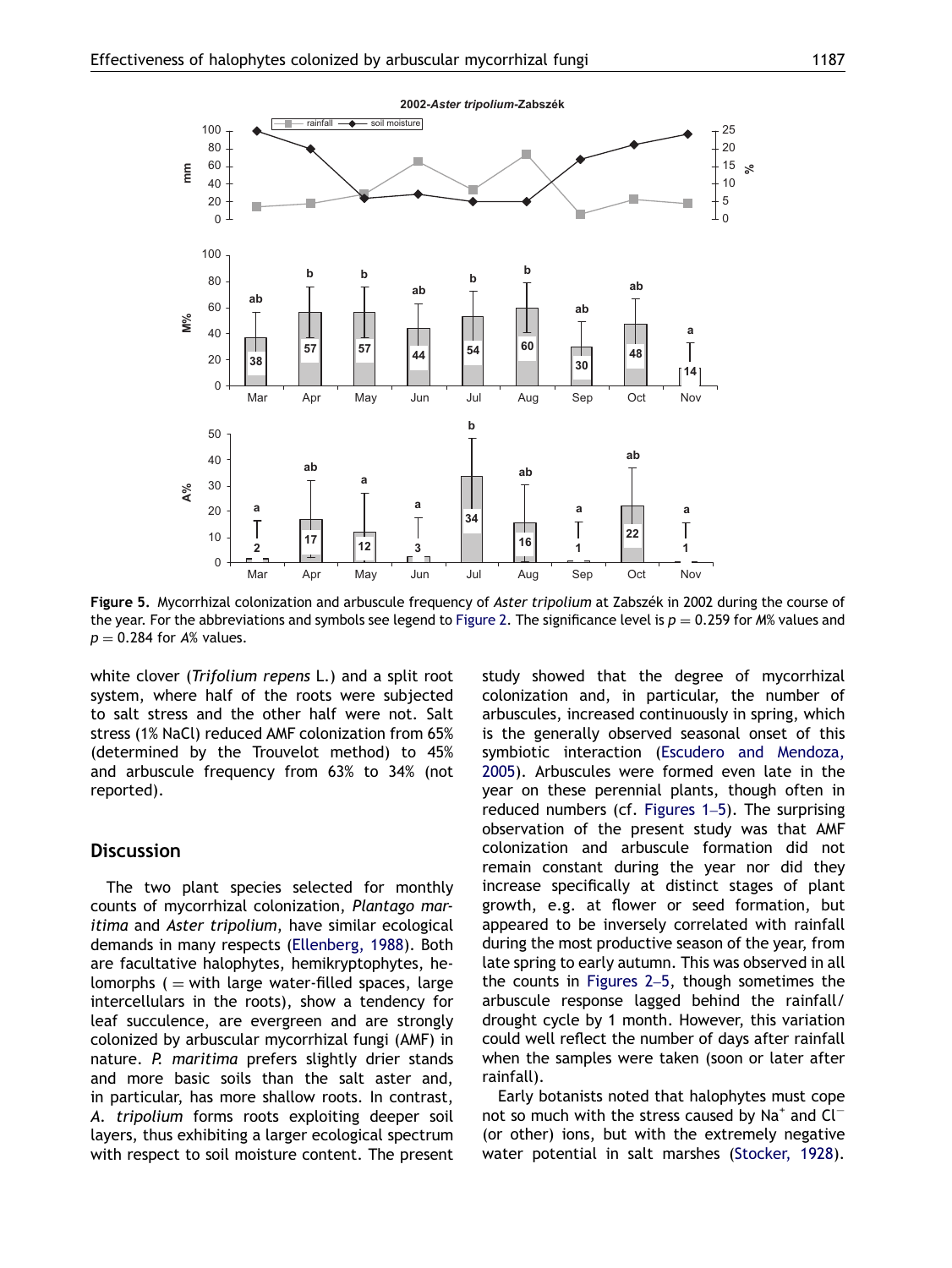<span id="page-6-0"></span>

Figure 5. Mycorrhizal colonization and arbuscule frequency of Aster tripolium at Zabszék in 2002 during the course of the year. For the abbreviations and symbols see legend to [Figure 2](#page-3-0). The significance level is  $p = 0.259$  for M% values and  $p = 0.284$  for A% values.

white clover (Trifolium repens L.) and a split root system, where half of the roots were subjected to salt stress and the other half were not. Salt stress (1% NaCl) reduced AMF colonization from 65% (determined by the Trouvelot method) to 45% and arbuscule frequency from 63% to 34% (not reported).

# **Discussion**

The two plant species selected for monthly counts of mycorrhizal colonization, Plantago maritima and Aster tripolium, have similar ecological demands in many respects ([Ellenberg, 1988\)](#page-10-0). Both are facultative halophytes, hemikryptophytes, helomorphs  $($  = with large water-filled spaces, large intercellulars in the roots), show a tendency for leaf succulence, are evergreen and are strongly colonized by arbuscular mycorrhizal fungi (AMF) in nature. P. maritima prefers slightly drier stands and more basic soils than the salt aster and, in particular, has more shallow roots. In contrast, A. tripolium forms roots exploiting deeper soil layers, thus exhibiting a larger ecological spectrum with respect to soil moisture content. The present study showed that the degree of mycorrhizal colonization and, in particular, the number of arbuscules, increased continuously in spring, which is the generally observed seasonal onset of this symbiotic interaction ([Escudero and Mendoza,](#page-10-0) [2005\)](#page-10-0). Arbuscules were formed even late in the year on these perennial plants, though often in reduced numbers (cf. [Figures 1](#page-2-0)–5). The surprising observation of the present study was that AMF colonization and arbuscule formation did not remain constant during the year nor did they increase specifically at distinct stages of plant growth, e.g. at flower or seed formation, but appeared to be inversely correlated with rainfall during the most productive season of the year, from late spring to early autumn. This was observed in all the counts in [Figures 2](#page-3-0)–5, though sometimes the arbuscule response lagged behind the rainfall/ drought cycle by 1 month. However, this variation could well reflect the number of days after rainfall when the samples were taken (soon or later after rainfall).

Early botanists noted that halophytes must cope not so much with the stress caused by Na<sup>+</sup> and  $Cl^-$ (or other) ions, but with the extremely negative water potential in salt marshes ([Stocker, 1928\)](#page-11-0).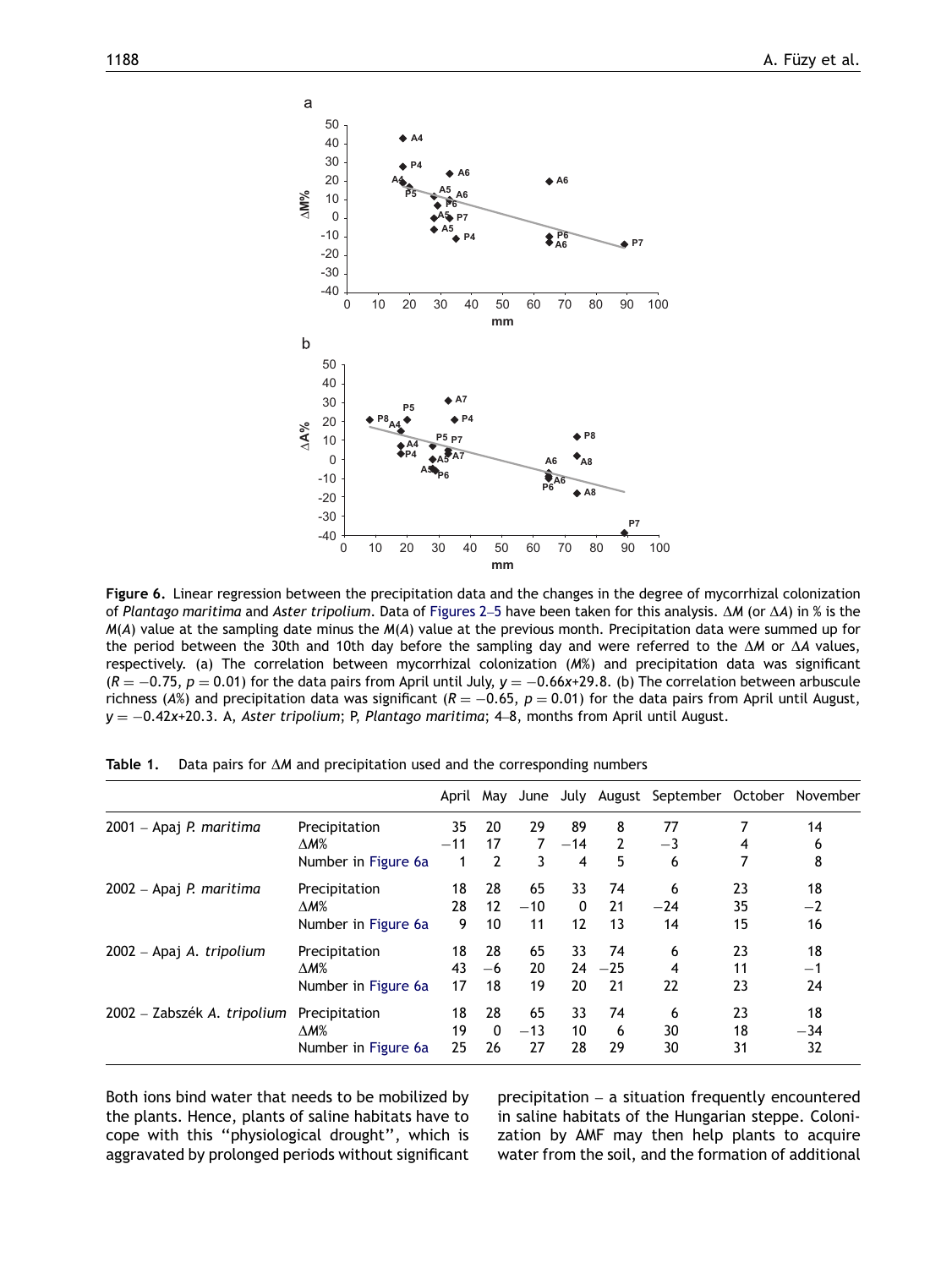<span id="page-7-0"></span>

Figure 6. Linear regression between the precipitation data and the changes in the degree of mycorrhizal colonization of Plantago maritima and Aster tripolium. Data of [Figures 2](#page-3-0)–5 have been taken for this analysis.  $\Delta M$  (or  $\Delta A$ ) in % is the  $M(A)$  value at the sampling date minus the  $M(A)$  value at the previous month. Precipitation data were summed up for the period between the 30th and 10th day before the sampling day and were referred to the  $\Delta M$  or  $\Delta A$  values, respectively. (a) The correlation between mycorrhizal colonization (M%) and precipitation data was significant (R  $=-0.75$ ,  $p=0.01$ ) for the data pairs from April until July, y  $=-0.66x+29.8$ . (b) The correlation between arbuscule richness (A%) and precipitation data was significant (R  $=-0.65,~p=0.01$ ) for the data pairs from April until August,  $\mathsf{y}=-0.42\mathsf{x}$ +20.3. A, *Aster tripolium*; P, Plantago maritima; 4–8, months from April until August.

|                             |                     | April May |                |       |          |                | June July August September October November |    |       |
|-----------------------------|---------------------|-----------|----------------|-------|----------|----------------|---------------------------------------------|----|-------|
| 2001 – Apaj P. maritima     | Precipitation       | 35        | 20             | 29    | 89       | 8              | 77                                          |    | 14    |
|                             | $\Delta M\%$        | $-11$     | 17             | 7     | $-14$    | $\mathfrak{p}$ | $-3$                                        | 4  | 6     |
|                             | Number in Figure 6a |           | $\overline{2}$ | 3     | 4        | 5              | 6                                           |    | 8     |
| 2002 – Apaj P. maritima     | Precipitation       | 18        | 28             | 65    | 33       | 74             | 6                                           | 23 | 18    |
|                             | $\Delta M\%$        | 28        | 12             | $-10$ | $\Omega$ | 21             | $-24$                                       | 35 | $-2$  |
|                             | Number in Figure 6a | 9         | 10             | 11    | 12       | 13             | 14                                          | 15 | 16    |
| 2002 – Apaj A. tripolium    | Precipitation       | 18        | 28             | 65    | 33       | 74             | 6                                           | 23 | 18    |
|                             | $\Delta M\%$        | 43        | $-6$           | 20    |          | $24 - 25$      | 4                                           | 11 | —1    |
|                             | Number in Figure 6a | 17        | 18             | 19    | 20       | 21             | 22                                          | 23 | 24    |
| 2002 – Zabszék A. tripolium | Precipitation       | 18        | 28             | 65    | 33       | 74             | 6                                           | 23 | 18    |
|                             | $\Delta M\%$        | 19        | 0              | $-13$ | 10       | 6              | 30                                          | 18 | $-34$ |
|                             | Number in Figure 6a | 25        | 26             | 27    | 28       | 29             | 30                                          | 31 | 32    |

Table 1. Data pairs for  $\Delta M$  and precipitation used and the corresponding numbers

Both ions bind water that needs to be mobilized by the plants. Hence, plants of saline habitats have to cope with this ''physiological drought'', which is aggravated by prolonged periods without significant precipitation – a situation frequently encountered in saline habitats of the Hungarian steppe. Colonization by AMF may then help plants to acquire water from the soil, and the formation of additional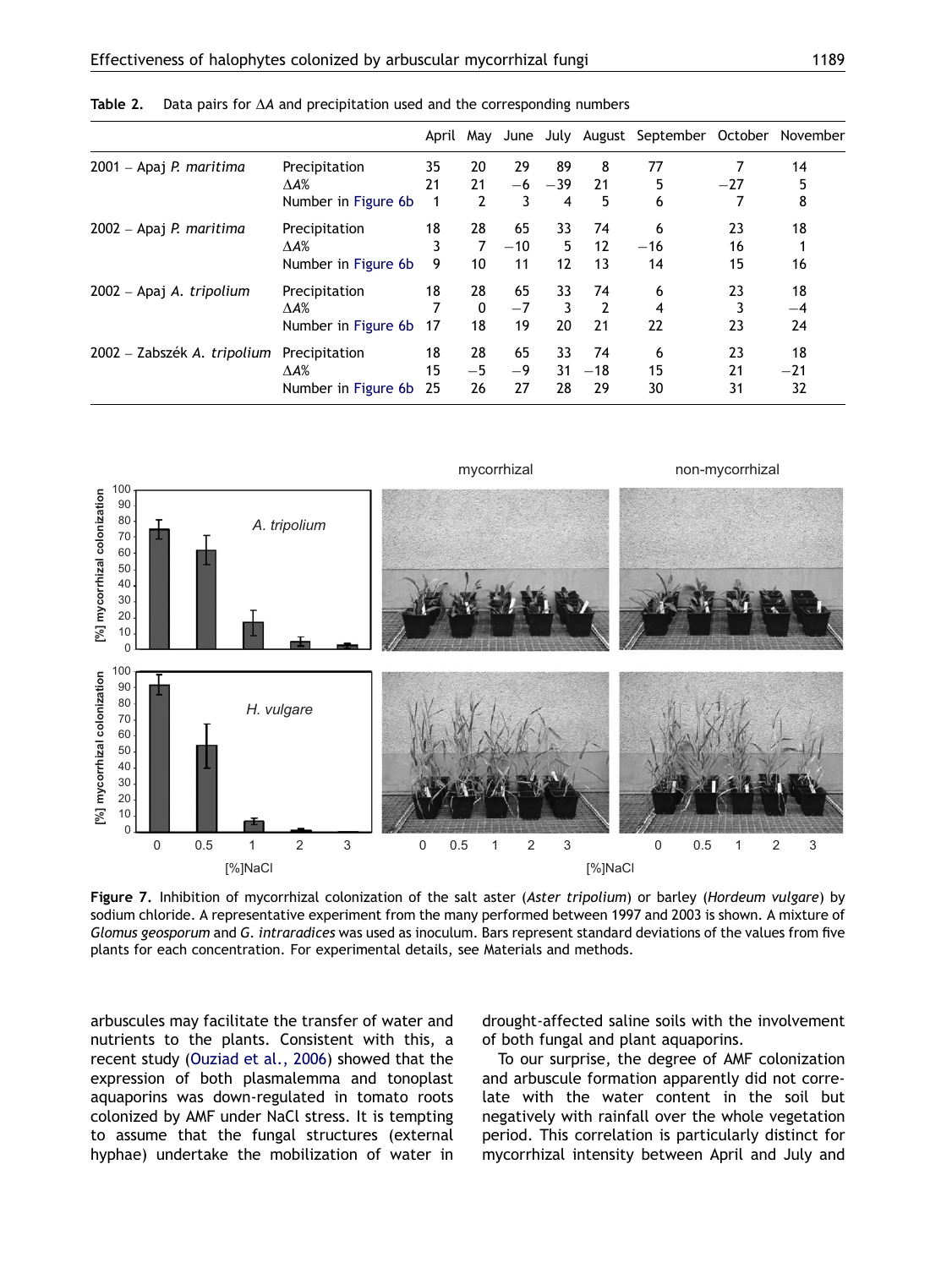|                             |                     |     |                |       |                   |                | April May June July August September October November |       |       |
|-----------------------------|---------------------|-----|----------------|-------|-------------------|----------------|-------------------------------------------------------|-------|-------|
| 2001 – Apaj P. maritima     | Precipitation       | 35  | 20             | 29    | 89                | 8              | 77                                                    |       | 14    |
|                             | $\Delta A\%$        | 21  | 21             | -6    | $-39$             | 21             | 5                                                     | $-27$ | 5     |
|                             | Number in Figure 6b | 1   | $\overline{2}$ | 3     | 4                 | 5              | 6                                                     | 7     | 8     |
| 2002 – Apaj P. maritima     | Precipitation       | 18  | 28             | 65    | 33                | 74             | 6                                                     | 23    | 18    |
|                             | $\Delta A\%$        | 3   | 7              | $-10$ | 5                 | 12             | $-16$                                                 | 16    |       |
|                             | Number in Figure 6b | 9   | 10             | 11    | $12 \overline{ }$ | 13             | 14                                                    | 15    | 16    |
| 2002 – Apaj A. tripolium    | Precipitation       | 18  | 28             | 65    | 33                | 74             | 6                                                     | 23    | 18    |
|                             | $\Delta A\%$        | 7   | $\mathbf{0}$   | $-7$  | 3                 | $\overline{2}$ | 4                                                     | 3     | $-4$  |
|                             | Number in Figure 6b | -17 | 18             | 19    | 20                | 21             | 22                                                    | 23    | 24    |
| 2002 – Zabszék A. tripolium | Precipitation       | 18  | 28             | 65    | 33                | 74             | 6                                                     | 23    | 18    |
|                             | $\Delta$ A%         | 15  | $-5$           | -9    | 31                | $-18$          | 15                                                    | 21    | $-21$ |
|                             | Number in Figure 6b | -25 | 26             | 27    | 28                | 29             | 30                                                    | 31    | 32    |

<span id="page-8-0"></span>Table 2. Data pairs for  $\Delta A$  and precipitation used and the corresponding numbers



Figure 7. Inhibition of mycorrhizal colonization of the salt aster (Aster tripolium) or barley (Hordeum vulgare) by sodium chloride. A representative experiment from the many performed between 1997 and 2003 is shown. A mixture of Glomus geosporum and G. intraradices was used as inoculum. Bars represent standard deviations of the values from five plants for each concentration. For experimental details, see Materials and methods.

arbuscules may facilitate the transfer of water and nutrients to the plants. Consistent with this, a recent study [\(Ouziad et al., 2006](#page-11-0)) showed that the expression of both plasmalemma and tonoplast aquaporins was down-regulated in tomato roots colonized by AMF under NaCl stress. It is tempting to assume that the fungal structures (external hyphae) undertake the mobilization of water in drought-affected saline soils with the involvement of both fungal and plant aquaporins.

To our surprise, the degree of AMF colonization and arbuscule formation apparently did not correlate with the water content in the soil but negatively with rainfall over the whole vegetation period. This correlation is particularly distinct for mycorrhizal intensity between April and July and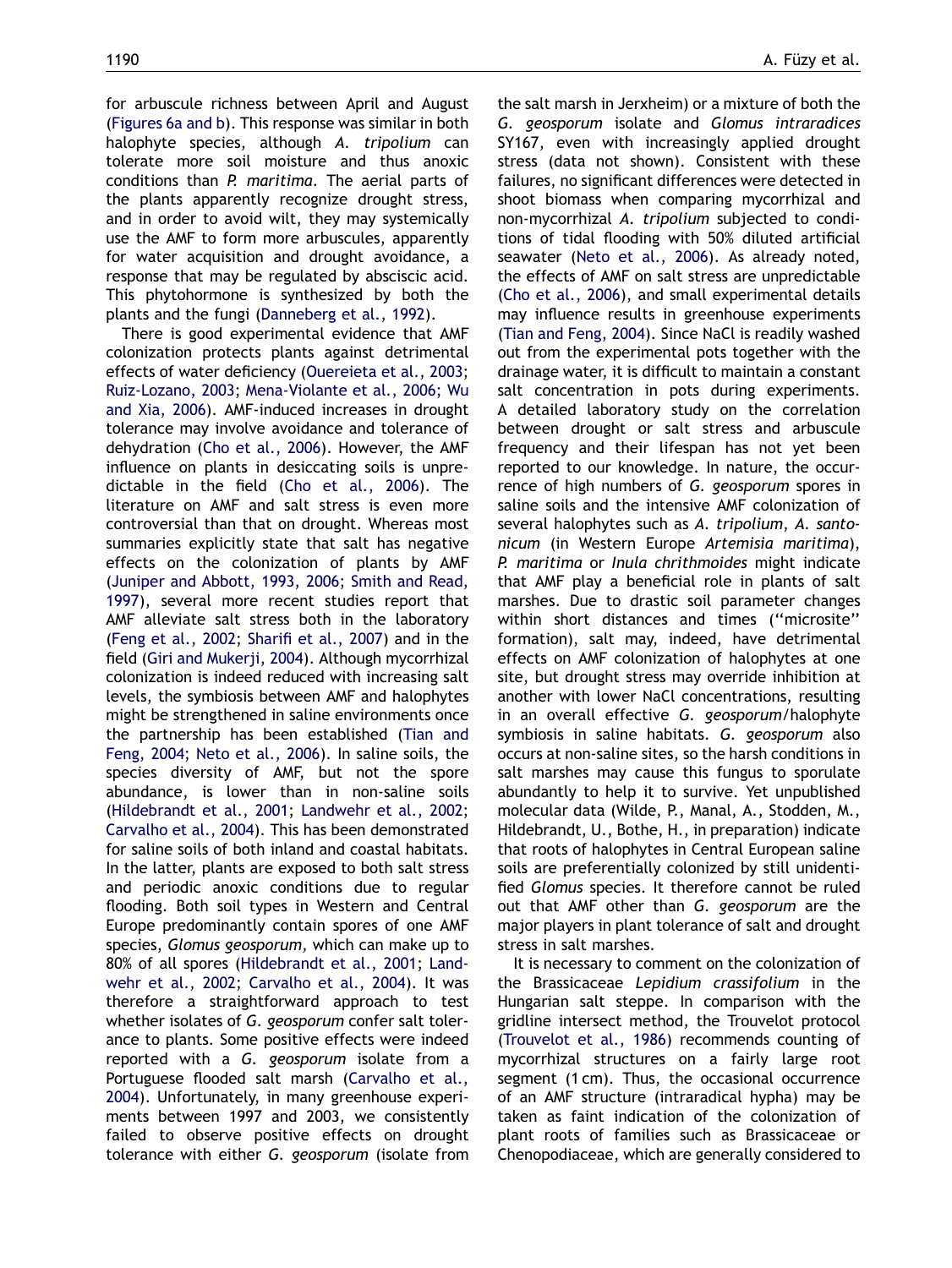for arbuscule richness between April and August ([Figures 6a and b\)](#page-7-0). This response was similar in both halophyte species, although A. tripolium can tolerate more soil moisture and thus anoxic conditions than P. maritima. The aerial parts of the plants apparently recognize drought stress, and in order to avoid wilt, they may systemically use the AMF to form more arbuscules, apparently for water acquisition and drought avoidance, a response that may be regulated by absciscic acid. This phytohormone is synthesized by both the plants and the fungi [\(Danneberg et al., 1992](#page-10-0)).

There is good experimental evidence that AMF colonization protects plants against detrimental effects of water deficiency ([Ouereieta et al., 2003;](#page-10-0) [Ruiz-Lozano, 2003](#page-11-0); [Mena-Violante et al., 2006;](#page-10-0) [Wu](#page-11-0) [and Xia, 2006\)](#page-11-0). AMF-induced increases in drought tolerance may involve avoidance and tolerance of dehydration [\(Cho et al., 2006\)](#page-10-0). However, the AMF influence on plants in desiccating soils is unpredictable in the field [\(Cho et al., 2006](#page-10-0)). The literature on AMF and salt stress is even more controversial than that on drought. Whereas most summaries explicitly state that salt has negative effects on the colonization of plants by AMF ([Juniper and Abbott, 1993, 2006;](#page-10-0) [Smith and Read,](#page-11-0) [1997](#page-11-0)), several more recent studies report that AMF alleviate salt stress both in the laboratory ([Feng et al., 2002;](#page-10-0) [Sharifi et al., 2007\)](#page-11-0) and in the field [\(Giri and Mukerji, 2004\)](#page-10-0). Although mycorrhizal colonization is indeed reduced with increasing salt levels, the symbiosis between AMF and halophytes might be strengthened in saline environments once the partnership has been established [\(Tian and](#page-11-0) [Feng, 2004](#page-11-0); [Neto et al., 2006](#page-10-0)). In saline soils, the species diversity of AMF, but not the spore abundance, is lower than in non-saline soils ([Hildebrandt et al., 2001;](#page-10-0) [Landwehr et al., 2002;](#page-10-0) [Carvalho et al., 2004](#page-10-0)). This has been demonstrated for saline soils of both inland and coastal habitats. In the latter, plants are exposed to both salt stress and periodic anoxic conditions due to regular flooding. Both soil types in Western and Central Europe predominantly contain spores of one AMF species, Glomus geosporum, which can make up to 80% of all spores ([Hildebrandt et al., 2001](#page-10-0); [Land](#page-10-0)[wehr et al., 2002;](#page-10-0) [Carvalho et al., 2004\)](#page-10-0). It was therefore a straightforward approach to test whether isolates of G. geosporum confer salt tolerance to plants. Some positive effects were indeed reported with a G. geosporum isolate from a Portuguese flooded salt marsh [\(Carvalho et al.,](#page-10-0) [2004](#page-10-0)). Unfortunately, in many greenhouse experiments between 1997 and 2003, we consistently failed to observe positive effects on drought tolerance with either G. geosporum (isolate from the salt marsh in Jerxheim) or a mixture of both the G. geosporum isolate and Glomus intraradices SY167, even with increasingly applied drought stress (data not shown). Consistent with these failures, no significant differences were detected in shoot biomass when comparing mycorrhizal and non-mycorrhizal A. tripolium subjected to conditions of tidal flooding with 50% diluted artificial seawater ([Neto et al., 2006](#page-10-0)). As already noted, the effects of AMF on salt stress are unpredictable [\(Cho et al., 2006](#page-10-0)), and small experimental details may influence results in greenhouse experiments [\(Tian and Feng, 2004\)](#page-11-0). Since NaCl is readily washed out from the experimental pots together with the drainage water, it is difficult to maintain a constant salt concentration in pots during experiments. A detailed laboratory study on the correlation between drought or salt stress and arbuscule frequency and their lifespan has not yet been reported to our knowledge. In nature, the occurrence of high numbers of G. geosporum spores in saline soils and the intensive AMF colonization of several halophytes such as A. tripolium, A. santonicum (in Western Europe Artemisia maritima), P. maritima or Inula chrithmoides might indicate that AMF play a beneficial role in plants of salt marshes. Due to drastic soil parameter changes within short distances and times ("microsite" formation), salt may, indeed, have detrimental effects on AMF colonization of halophytes at one site, but drought stress may override inhibition at another with lower NaCl concentrations, resulting in an overall effective G. geosporum/halophyte symbiosis in saline habitats. G. geosporum also occurs at non-saline sites, so the harsh conditions in salt marshes may cause this fungus to sporulate abundantly to help it to survive. Yet unpublished molecular data (Wilde, P., Manal, A., Stodden, M., Hildebrandt, U., Bothe, H., in preparation) indicate that roots of halophytes in Central European saline soils are preferentially colonized by still unidentified Glomus species. It therefore cannot be ruled out that AMF other than G. geosporum are the major players in plant tolerance of salt and drought stress in salt marshes.

It is necessary to comment on the colonization of the Brassicaceae Lepidium crassifolium in the Hungarian salt steppe. In comparison with the gridline intersect method, the Trouvelot protocol [\(Trouvelot et al., 1986\)](#page-11-0) recommends counting of mycorrhizal structures on a fairly large root segment (1 cm). Thus, the occasional occurrence of an AMF structure (intraradical hypha) may be taken as faint indication of the colonization of plant roots of families such as Brassicaceae or Chenopodiaceae, which are generally considered to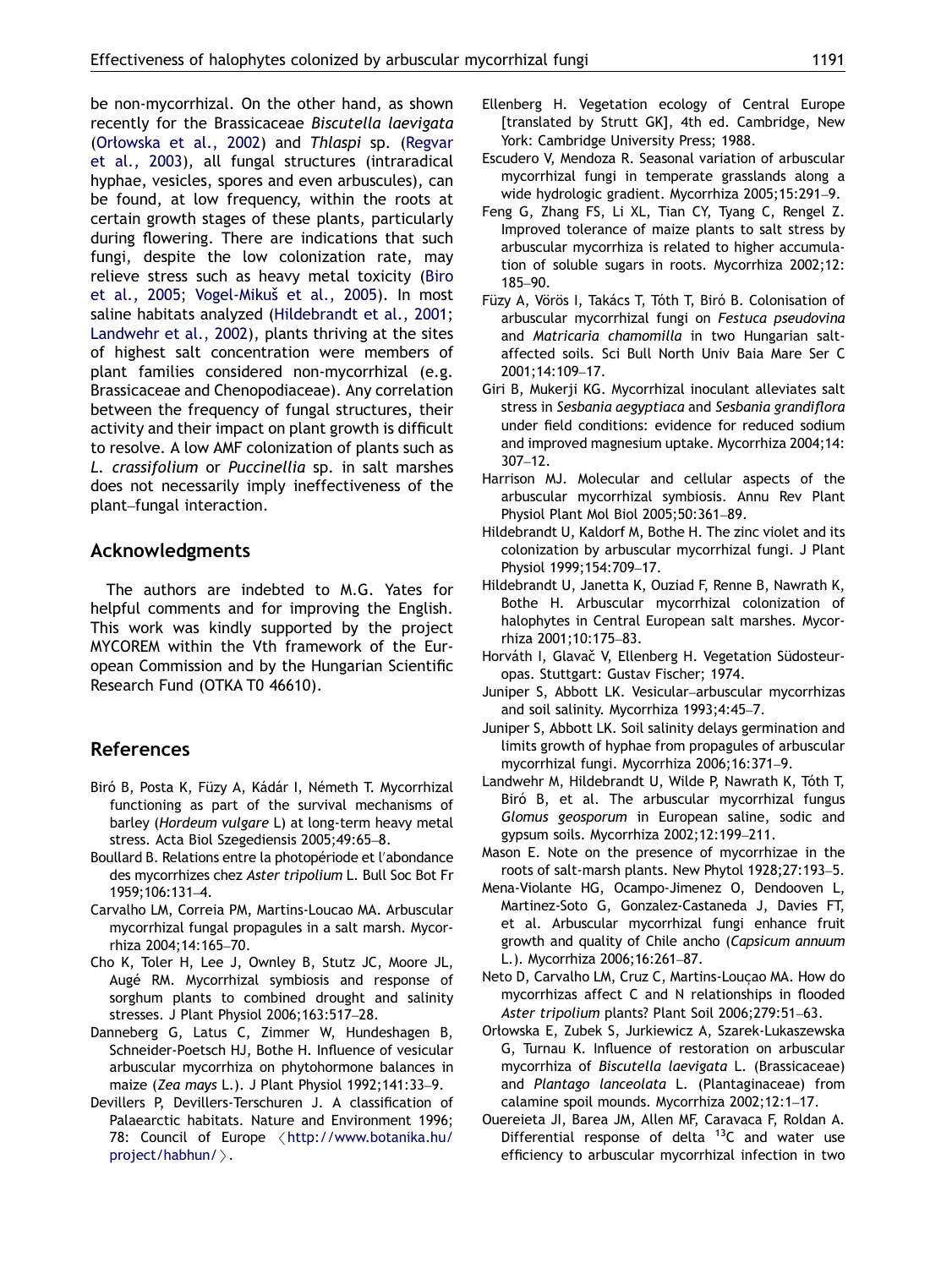<span id="page-10-0"></span>be non-mycorrhizal. On the other hand, as shown recently for the Brassicaceae Biscutella laevigata (Orłowska et al., 2002) and Thlaspi sp. [\(Regvar](#page-11-0) [et al., 2003](#page-11-0)), all fungal structures (intraradical hyphae, vesicles, spores and even arbuscules), can be found, at low frequency, within the roots at certain growth stages of these plants, particularly during flowering. There are indications that such fungi, despite the low colonization rate, may relieve stress such as heavy metal toxicity (Biro et al., 2005; Vogel-Mikuš et al., 2005). In most saline habitats analyzed (Hildebrandt et al., 2001; Landwehr et al., 2002), plants thriving at the sites of highest salt concentration were members of plant families considered non-mycorrhizal (e.g. Brassicaceae and Chenopodiaceae). Any correlation between the frequency of fungal structures, their activity and their impact on plant growth is difficult to resolve. A low AMF colonization of plants such as L. crassifolium or Puccinellia sp. in salt marshes does not necessarily imply ineffectiveness of the plant–fungal interaction.

# Acknowledgments

The authors are indebted to M.G. Yates for helpful comments and for improving the English. This work was kindly supported by the project MYCOREM within the Vth framework of the European Commission and by the Hungarian Scientific Research Fund (OTKA T0 46610).

# References

- Biró B, Posta K, Füzy A, Kádár I, Németh T. Mycorrhizal functioning as part of the survival mechanisms of barley (Hordeum vulgare L) at long-term heavy metal stress. Acta Biol Szegediensis 2005;49:65–8.
- Boullard B. Relations entre la photopériode et l'abondance des mycorrhizes chez Aster tripolium L. Bull Soc Bot Fr 1959;106:131–4.
- Carvalho LM, Correia PM, Martins-Loucao MA. Arbuscular mycorrhizal fungal propagules in a salt marsh. Mycorrhiza 2004;14:165–70.
- Cho K, Toler H, Lee J, Ownley B, Stutz JC, Moore JL, Augé RM. Mycorrhizal symbiosis and response of sorghum plants to combined drought and salinity stresses. J Plant Physiol 2006;163:517–28.
- Danneberg G, Latus C, Zimmer W, Hundeshagen B, Schneider-Poetsch HJ, Bothe H. Influence of vesicular arbuscular mycorrhiza on phytohormone balances in maize (Zea mays L.). J Plant Physiol 1992;141:33–9.
- Devillers P, Devillers-Terschuren J. A classification of Palaearctic habitats. Nature and Environment 1996; 78: Council of Europe <[http://www.botanika.hu/](http://www.botanika.hu/project/habhun/) [project/habhun/](http://www.botanika.hu/project/habhun/) $\rangle$ .
- Ellenberg H. Vegetation ecology of Central Europe [translated by Strutt GK], 4th ed. Cambridge, New York: Cambridge University Press; 1988.
- Escudero V, Mendoza R. Seasonal variation of arbuscular mycorrhizal fungi in temperate grasslands along a wide hydrologic gradient. Mycorrhiza 2005;15:291–9.
- Feng G, Zhang FS, Li XL, Tian CY, Tyang C, Rengel Z. Improved tolerance of maize plants to salt stress by arbuscular mycorrhiza is related to higher accumulation of soluble sugars in roots. Mycorrhiza 2002;12: 185–90.
- Füzy A, Vörös I, Takács T, Tóth T, Biró B. Colonisation of arbuscular mycorrhizal fungi on Festuca pseudovina and Matricaria chamomilla in two Hungarian saltaffected soils. Sci Bull North Univ Baia Mare Ser C 2001;14:109–17.
- Giri B, Mukerji KG. Mycorrhizal inoculant alleviates salt stress in Sesbania aegyptiaca and Sesbania grandiflora under field conditions: evidence for reduced sodium and improved magnesium uptake. Mycorrhiza 2004;14: 307–12.
- Harrison MJ. Molecular and cellular aspects of the arbuscular mycorrhizal symbiosis. Annu Rev Plant Physiol Plant Mol Biol 2005;50:361–89.
- Hildebrandt U, Kaldorf M, Bothe H. The zinc violet and its colonization by arbuscular mycorrhizal fungi. J Plant Physiol 1999;154:709–17.
- Hildebrandt U, Janetta K, Ouziad F, Renne B, Nawrath K, Bothe H. Arbuscular mycorrhizal colonization of halophytes in Central European salt marshes. Mycorrhiza 2001;10:175–83.
- Horváth I, Glavač V, Ellenberg H. Vegetation Südosteuropas. Stuttgart: Gustav Fischer; 1974.
- Juniper S, Abbott LK. Vesicular–arbuscular mycorrhizas and soil salinity. Mycorrhiza 1993;4:45–7.
- Juniper S, Abbott LK. Soil salinity delays germination and limits growth of hyphae from propagules of arbuscular mycorrhizal fungi. Mycorrhiza 2006;16:371–9.
- Landwehr M, Hildebrandt U, Wilde P, Nawrath K, Toth T, Biró B, et al. The arbuscular mycorrhizal fungus Glomus geosporum in European saline, sodic and gypsum soils. Mycorrhiza 2002;12:199–211.
- Mason E. Note on the presence of mycorrhizae in the roots of salt-marsh plants. New Phytol 1928;27:193–5.
- Mena-Violante HG, Ocampo-Jimenez O, Dendooven L, Martinez-Soto G, Gonzalez-Castaneda J, Davies FT, et al. Arbuscular mycorrhizal fungi enhance fruit growth and quality of Chile ancho (Capsicum annuum L.). Mycorrhiza 2006;16:261–87.
- Neto D, Carvalho LM, Cruz C, Martins-Louçao MA. How do mycorrhizas affect C and N relationships in flooded Aster tripolium plants? Plant Soil 2006;279:51–63.
- Orłowska E, Zubek S, Jurkiewicz A, Szarek-Lukaszewska G, Turnau K. Influence of restoration on arbuscular mycorrhiza of Biscutella laevigata L. (Brassicaceae) and Plantago lanceolata L. (Plantaginaceae) from calamine spoil mounds. Mycorrhiza 2002;12:1–17.
- Ouereieta JI, Barea JM, Allen MF, Caravaca F, Roldan A. Differential response of delta  $13C$  and water use efficiency to arbuscular mycorrhizal infection in two